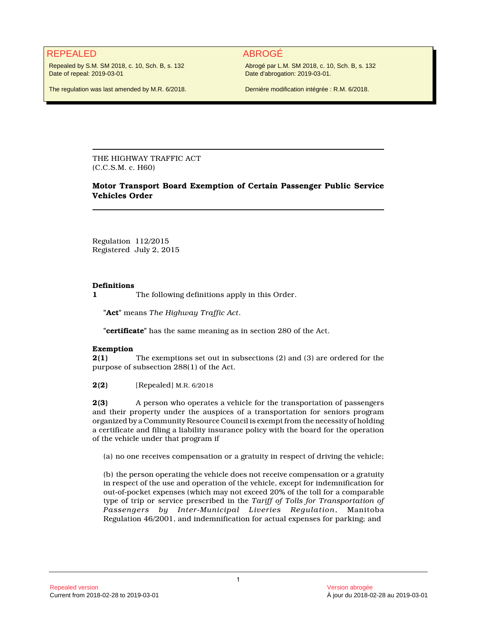# REPEALED ABROGÉ

Repealed by S.M. SM 2018, c. 10, Sch. B, s. 132 Date of repeal: 2019-03-01

The regulation was last amended by M.R. 6/2018.

Abrogé par L.M. SM 2018, c. 10, Sch. B, s. 132 Date d'abrogation: 2019-03-01.

Dernière modification intégrée : R.M. 6/2018.

THE HIGHWAY TRAFFIC ACT (C.C.S.M. c. H60)

## **Motor Transport Board Exemption of Certain Passenger Public Service Vehicles Order**

Regulation 112/2015 Registered July 2, 2015

### **Definitions**

**1** The following definitions apply in this Order.

**"Act"** means *The Highway Traffic Act*.

**"certificate"** has the same meaning as in section 280 of the Act.

## **Exemption**

**2(1)** The exemptions set out in subsections (2) and (3) are ordered for the purpose of subsection 288(1) of the Act.

**2(2)** [Repealed] M.R. 6/2018

**2(3)** A person who operates a vehicle for the transportation of passengers and their property under the auspices of a transportation for seniors program organized by a Community Resource Council is exempt from the necessity of holding a certificate and filing a liability insurance policy with the board for the operation of the vehicle under that program if

(a) no one receives compensation or a gratuity in respect of driving the vehicle;

(b) the person operating the vehicle does not receive compensation or a gratuity in respect of the use and operation of the vehicle, except for indemnification for out-of-pocket expenses (which may not exceed 20% of the toll for a comparable type of trip or service prescribed in the *Tariff of Tolls for Transportation of Passengers by Inter-Municipal Liveries Regulation*, Manitoba Regulation 46/2001, and indemnification for actual expenses for parking; and